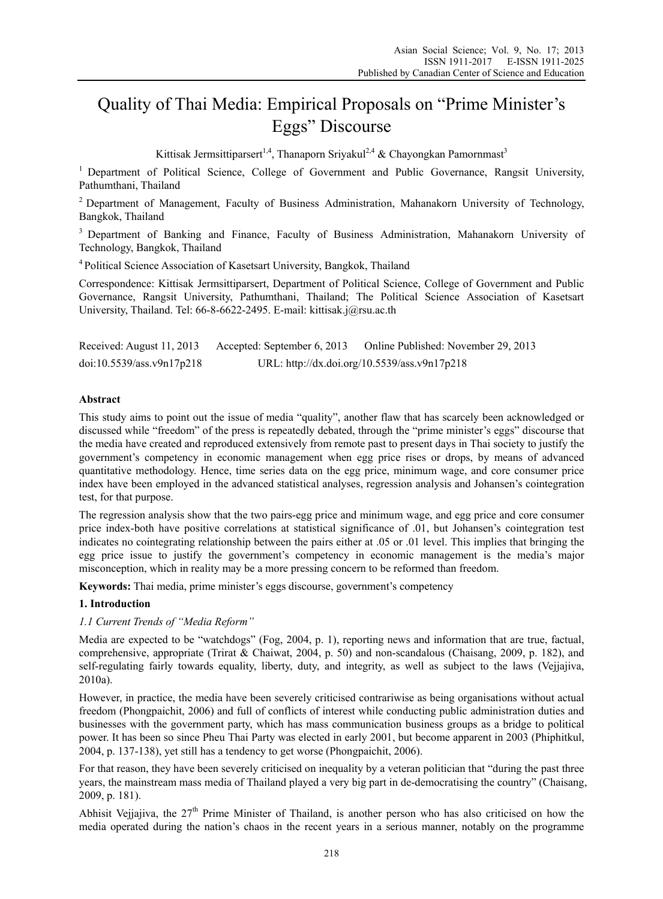# Quality of Thai Media: Empirical Proposals on "Prime Minister's Eggs" Discourse

Kittisak Jermsittiparsert<sup>1,4</sup>, Thanaporn Sriyakul<sup>2,4</sup> & Chayongkan Pamornmast<sup>3</sup>

<sup>1</sup> Department of Political Science, College of Government and Public Governance, Rangsit University, Pathumthani, Thailand

<sup>2</sup> Department of Management, Faculty of Business Administration, Mahanakorn University of Technology, Bangkok, Thailand

<sup>3</sup> Department of Banking and Finance, Faculty of Business Administration, Mahanakorn University of Technology, Bangkok, Thailand

4 Political Science Association of Kasetsart University, Bangkok, Thailand

Correspondence: Kittisak Jermsittiparsert, Department of Political Science, College of Government and Public Governance, Rangsit University, Pathumthani, Thailand; The Political Science Association of Kasetsart University, Thailand. Tel: 66-8-6622-2495. E-mail: kittisak.j@rsu.ac.th

| Received: August 11, 2013 | Accepted: September 6, 2013 | Online Published: November 29, 2013          |
|---------------------------|-----------------------------|----------------------------------------------|
| doi:10.5539/ass.v9n17p218 |                             | URL: http://dx.doi.org/10.5539/ass.v9n17p218 |

## **Abstract**

This study aims to point out the issue of media "quality", another flaw that has scarcely been acknowledged or discussed while "freedom" of the press is repeatedly debated, through the "prime minister's eggs" discourse that the media have created and reproduced extensively from remote past to present days in Thai society to justify the government's competency in economic management when egg price rises or drops, by means of advanced quantitative methodology. Hence, time series data on the egg price, minimum wage, and core consumer price index have been employed in the advanced statistical analyses, regression analysis and Johansen's cointegration test, for that purpose.

The regression analysis show that the two pairs-egg price and minimum wage, and egg price and core consumer price index-both have positive correlations at statistical significance of .01, but Johansen's cointegration test indicates no cointegrating relationship between the pairs either at .05 or .01 level. This implies that bringing the egg price issue to justify the government's competency in economic management is the media's major misconception, which in reality may be a more pressing concern to be reformed than freedom.

**Keywords:** Thai media, prime minister's eggs discourse, government's competency

### **1. Introduction**

### *1.1 Current Trends of "Media Reform"*

Media are expected to be "watchdogs" (Fog, 2004, p. 1), reporting news and information that are true, factual, comprehensive, appropriate (Trirat & Chaiwat, 2004, p. 50) and non-scandalous (Chaisang, 2009, p. 182), and self-regulating fairly towards equality, liberty, duty, and integrity, as well as subject to the laws (Vejjajiva, 2010a).

However, in practice, the media have been severely criticised contrariwise as being organisations without actual freedom (Phongpaichit, 2006) and full of conflicts of interest while conducting public administration duties and businesses with the government party, which has mass communication business groups as a bridge to political power. It has been so since Pheu Thai Party was elected in early 2001, but become apparent in 2003 (Phiphitkul, 2004, p. 137-138), yet still has a tendency to get worse (Phongpaichit, 2006).

For that reason, they have been severely criticised on inequality by a veteran politician that "during the past three years, the mainstream mass media of Thailand played a very big part in de-democratising the country" (Chaisang, 2009, p. 181).

Abhisit Vejjajiva, the 27<sup>th</sup> Prime Minister of Thailand, is another person who has also criticised on how the media operated during the nation's chaos in the recent years in a serious manner, notably on the programme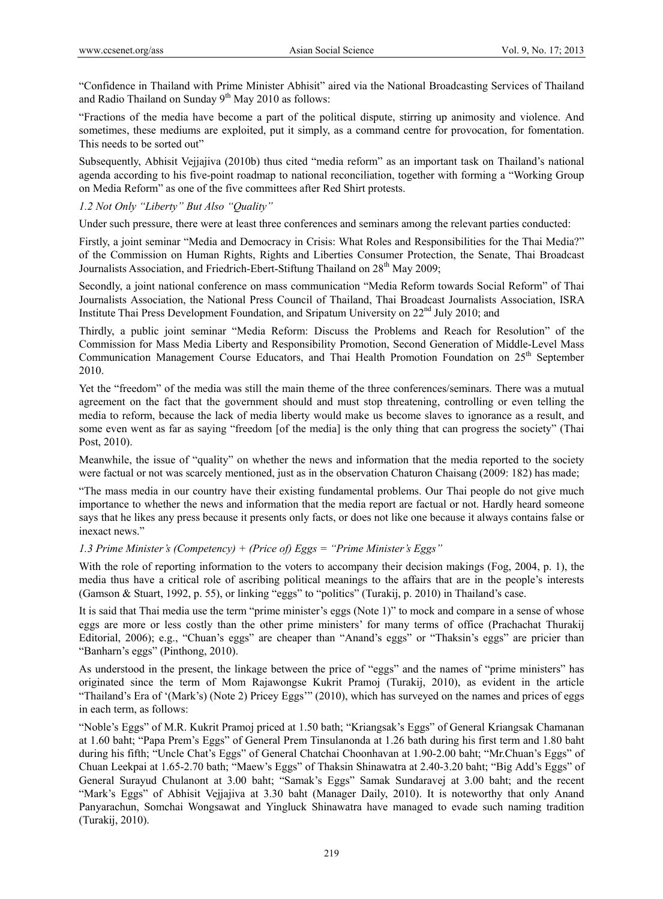"Confidence in Thailand with Prime Minister Abhisit" aired via the National Broadcasting Services of Thailand and Radio Thailand on Sunday  $9<sup>th</sup>$  May 2010 as follows:

"Fractions of the media have become a part of the political dispute, stirring up animosity and violence. And sometimes, these mediums are exploited, put it simply, as a command centre for provocation, for fomentation. This needs to be sorted out"

Subsequently, Abhisit Vejjajiva (2010b) thus cited "media reform" as an important task on Thailand's national agenda according to his five-point roadmap to national reconciliation, together with forming a "Working Group on Media Reform" as one of the five committees after Red Shirt protests.

# *1.2 Not Only "Liberty" But Also "Quality"*

Under such pressure, there were at least three conferences and seminars among the relevant parties conducted:

Firstly, a joint seminar "Media and Democracy in Crisis: What Roles and Responsibilities for the Thai Media?" of the Commission on Human Rights, Rights and Liberties Consumer Protection, the Senate, Thai Broadcast Journalists Association, and Friedrich-Ebert-Stiftung Thailand on 28<sup>th</sup> May 2009;

Secondly, a joint national conference on mass communication "Media Reform towards Social Reform" of Thai Journalists Association, the National Press Council of Thailand, Thai Broadcast Journalists Association, ISRA Institute Thai Press Development Foundation, and Sripatum University on 22nd July 2010; and

Thirdly, a public joint seminar "Media Reform: Discuss the Problems and Reach for Resolution" of the Commission for Mass Media Liberty and Responsibility Promotion, Second Generation of Middle-Level Mass Communication Management Course Educators, and Thai Health Promotion Foundation on  $25<sup>th</sup>$  September 2010.

Yet the "freedom" of the media was still the main theme of the three conferences/seminars. There was a mutual agreement on the fact that the government should and must stop threatening, controlling or even telling the media to reform, because the lack of media liberty would make us become slaves to ignorance as a result, and some even went as far as saying "freedom [of the media] is the only thing that can progress the society" (Thai Post, 2010).

Meanwhile, the issue of "quality" on whether the news and information that the media reported to the society were factual or not was scarcely mentioned, just as in the observation Chaturon Chaisang (2009: 182) has made;

"The mass media in our country have their existing fundamental problems. Our Thai people do not give much importance to whether the news and information that the media report are factual or not. Hardly heard someone says that he likes any press because it presents only facts, or does not like one because it always contains false or inexact news."

# *1.3 Prime Minister's (Competency) + (Price of) Eggs = "Prime Minister's Eggs"*

With the role of reporting information to the voters to accompany their decision makings (Fog, 2004, p. 1), the media thus have a critical role of ascribing political meanings to the affairs that are in the people's interests (Gamson & Stuart, 1992, p. 55), or linking "eggs" to "politics" (Turakij, p. 2010) in Thailand's case.

It is said that Thai media use the term "prime minister's eggs (Note 1)" to mock and compare in a sense of whose eggs are more or less costly than the other prime ministers' for many terms of office (Prachachat Thurakij Editorial, 2006); e.g., "Chuan's eggs" are cheaper than "Anand's eggs" or "Thaksin's eggs" are pricier than "Banharn's eggs" (Pinthong, 2010).

As understood in the present, the linkage between the price of "eggs" and the names of "prime ministers" has originated since the term of Mom Rajawongse Kukrit Pramoj (Turakij, 2010), as evident in the article "Thailand's Era of '(Mark's) (Note 2) Pricey Eggs'" (2010), which has surveyed on the names and prices of eggs in each term, as follows:

"Noble's Eggs" of M.R. Kukrit Pramoj priced at 1.50 bath; "Kriangsak's Eggs" of General Kriangsak Chamanan at 1.60 baht; "Papa Prem's Eggs" of General Prem Tinsulanonda at 1.26 bath during his first term and 1.80 baht during his fifth; "Uncle Chat's Eggs" of General Chatchai Choonhavan at 1.90-2.00 baht; "Mr.Chuan's Eggs" of Chuan Leekpai at 1.65-2.70 bath; "Maew's Eggs" of Thaksin Shinawatra at 2.40-3.20 baht; "Big Add's Eggs" of General Surayud Chulanont at 3.00 baht; "Samak's Eggs" Samak Sundaravej at 3.00 baht; and the recent "Mark's Eggs" of Abhisit Vejjajiva at 3.30 baht (Manager Daily, 2010). It is noteworthy that only Anand Panyarachun, Somchai Wongsawat and Yingluck Shinawatra have managed to evade such naming tradition (Turakij, 2010).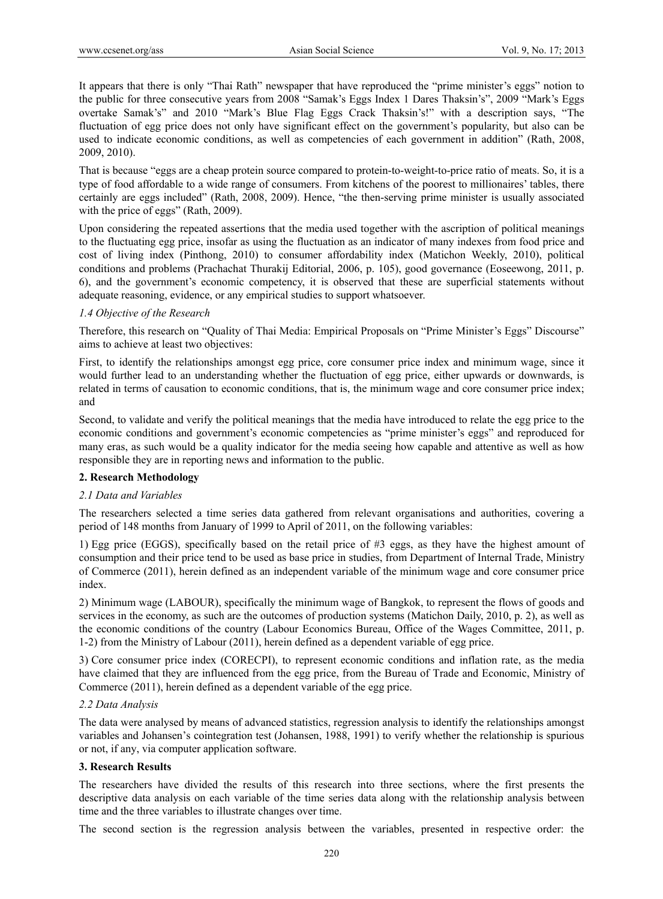It appears that there is only "Thai Rath" newspaper that have reproduced the "prime minister's eggs" notion to the public for three consecutive years from 2008 "Samak's Eggs Index 1 Dares Thaksin's", 2009 "Mark's Eggs overtake Samak's" and 2010 "Mark's Blue Flag Eggs Crack Thaksin's!" with a description says, "The fluctuation of egg price does not only have significant effect on the government's popularity, but also can be used to indicate economic conditions, as well as competencies of each government in addition" (Rath, 2008, 2009, 2010).

That is because "eggs are a cheap protein source compared to protein-to-weight-to-price ratio of meats. So, it is a type of food affordable to a wide range of consumers. From kitchens of the poorest to millionaires' tables, there certainly are eggs included" (Rath, 2008, 2009). Hence, "the then-serving prime minister is usually associated with the price of eggs" (Rath, 2009).

Upon considering the repeated assertions that the media used together with the ascription of political meanings to the fluctuating egg price, insofar as using the fluctuation as an indicator of many indexes from food price and cost of living index (Pinthong, 2010) to consumer affordability index (Matichon Weekly, 2010), political conditions and problems (Prachachat Thurakij Editorial, 2006, p. 105), good governance (Eoseewong, 2011, p. 6), and the government's economic competency, it is observed that these are superficial statements without adequate reasoning, evidence, or any empirical studies to support whatsoever.

## *1.4 Objective of the Research*

Therefore, this research on "Quality of Thai Media: Empirical Proposals on "Prime Minister's Eggs" Discourse" aims to achieve at least two objectives:

First, to identify the relationships amongst egg price, core consumer price index and minimum wage, since it would further lead to an understanding whether the fluctuation of egg price, either upwards or downwards, is related in terms of causation to economic conditions, that is, the minimum wage and core consumer price index; and

Second, to validate and verify the political meanings that the media have introduced to relate the egg price to the economic conditions and government's economic competencies as "prime minister's eggs" and reproduced for many eras, as such would be a quality indicator for the media seeing how capable and attentive as well as how responsible they are in reporting news and information to the public.

### **2. Research Methodology**

### *2.1 Data and Variables*

The researchers selected a time series data gathered from relevant organisations and authorities, covering a period of 148 months from January of 1999 to April of 2011, on the following variables:

1) Egg price (EGGS), specifically based on the retail price of #3 eggs, as they have the highest amount of consumption and their price tend to be used as base price in studies, from Department of Internal Trade, Ministry of Commerce (2011), herein defined as an independent variable of the minimum wage and core consumer price index.

2) Minimum wage (LABOUR), specifically the minimum wage of Bangkok, to represent the flows of goods and services in the economy, as such are the outcomes of production systems (Matichon Daily, 2010, p. 2), as well as the economic conditions of the country (Labour Economics Bureau, Office of the Wages Committee, 2011, p. 1-2) from the Ministry of Labour (2011), herein defined as a dependent variable of egg price.

3) Core consumer price index (CORECPI), to represent economic conditions and inflation rate, as the media have claimed that they are influenced from the egg price, from the Bureau of Trade and Economic, Ministry of Commerce (2011), herein defined as a dependent variable of the egg price.

### *2.2 Data Analysis*

The data were analysed by means of advanced statistics, regression analysis to identify the relationships amongst variables and Johansen's cointegration test (Johansen, 1988, 1991) to verify whether the relationship is spurious or not, if any, via computer application software.

### **3. Research Results**

The researchers have divided the results of this research into three sections, where the first presents the descriptive data analysis on each variable of the time series data along with the relationship analysis between time and the three variables to illustrate changes over time.

The second section is the regression analysis between the variables, presented in respective order: the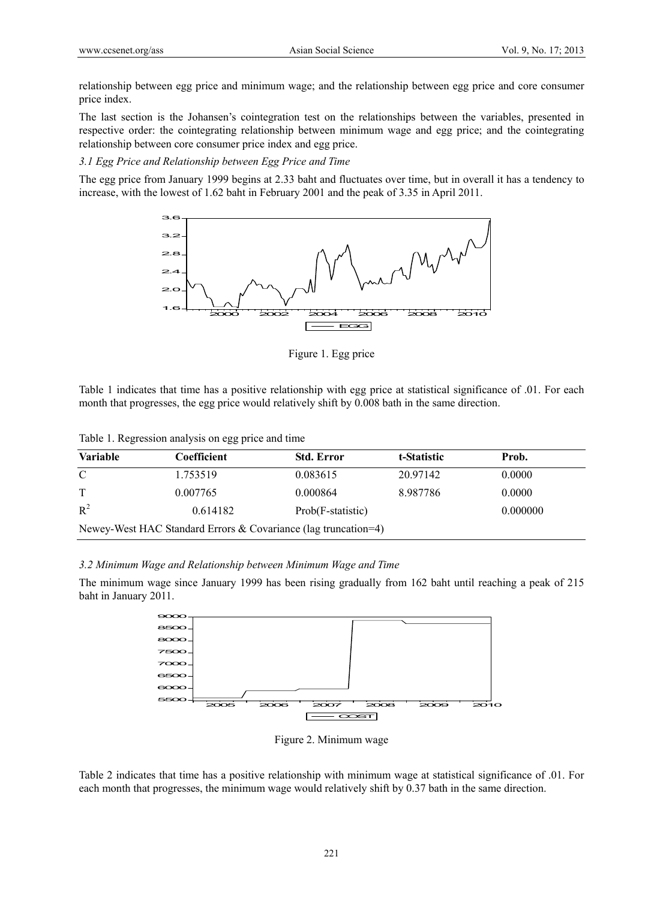relationship between egg price and minimum wage; and the relationship between egg price and core consumer price index.

The last section is the Johansen's cointegration test on the relationships between the variables, presented in respective order: the cointegrating relationship between minimum wage and egg price; and the cointegrating relationship between core consumer price index and egg price.

*3.1 Egg Price and Relationship between Egg Price and Time*

The egg price from January 1999 begins at 2.33 baht and fluctuates over time, but in overall it has a tendency to increase, with the lowest of 1.62 baht in February 2001 and the peak of 3.35 in April 2011.



Figure 1. Egg price

Table 1 indicates that time has a positive relationship with egg price at statistical significance of .01. For each month that progresses, the egg price would relatively shift by 0.008 bath in the same direction.

Table 1. Regression analysis on egg price and time

| <b>Variable</b>                                                | Coefficient | <b>Std. Error</b> | t-Statistic | Prob.    |  |  |  |
|----------------------------------------------------------------|-------------|-------------------|-------------|----------|--|--|--|
| C                                                              | 1.753519    | 0.083615          | 20.97142    | 0.0000   |  |  |  |
| T                                                              | 0.007765    | 0.000864          | 8.987786    | 0.0000   |  |  |  |
| $R^2$                                                          | 0.614182    | Prob(F-statistic) |             | 0.000000 |  |  |  |
| Newey-West HAC Standard Errors & Covariance (lag truncation=4) |             |                   |             |          |  |  |  |

#### *3.2 Minimum Wage and Relationship between Minimum Wage and Time*

The minimum wage since January 1999 has been rising gradually from 162 baht until reaching a peak of 215 baht in January 2011.



Figure 2. Minimum wage

Table 2 indicates that time has a positive relationship with minimum wage at statistical significance of .01. For each month that progresses, the minimum wage would relatively shift by 0.37 bath in the same direction.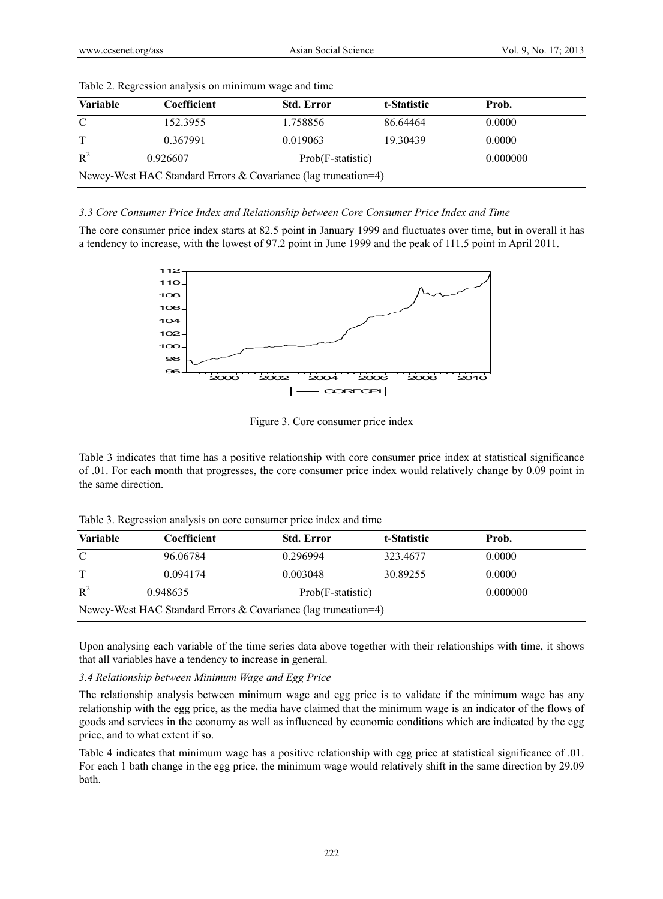| <b>Variable</b>                                                | Coefficient | <b>Std. Error</b> | t-Statistic | Prob.    |  |  |  |
|----------------------------------------------------------------|-------------|-------------------|-------------|----------|--|--|--|
| C                                                              | 152.3955    | 1.758856          | 86.64464    | 0.0000   |  |  |  |
| T                                                              | 0.367991    | 0.019063          | 19.30439    | 0.0000   |  |  |  |
| $R^2$                                                          | 0.926607    | Prob(F-statistic) |             | 0.000000 |  |  |  |
| Newey-West HAC Standard Errors & Covariance (lag truncation=4) |             |                   |             |          |  |  |  |

Table 2. Regression analysis on minimum wage and time

## *3.3 Core Consumer Price Index and Relationship between Core Consumer Price Index and Time*

The core consumer price index starts at 82.5 point in January 1999 and fluctuates over time, but in overall it has a tendency to increase, with the lowest of 97.2 point in June 1999 and the peak of 111.5 point in April 2011.



Figure 3. Core consumer price index

Table 3 indicates that time has a positive relationship with core consumer price index at statistical significance of .01. For each month that progresses, the core consumer price index would relatively change by 0.09 point in the same direction.

|  |  | Table 3. Regression analysis on core consumer price index and time |
|--|--|--------------------------------------------------------------------|
|  |  |                                                                    |

| <b>Variable</b> | Coefficient                                                    | <b>Std. Error</b> | t-Statistic | Prob.    |  |
|-----------------|----------------------------------------------------------------|-------------------|-------------|----------|--|
| C               | 96.06784                                                       | 0.296994          | 323.4677    | 0.0000   |  |
| T               | 0.094174                                                       | 0.003048          | 30.89255    | 0.0000   |  |
| $R^2$           | 0.948635                                                       | Prob(F-statistic) |             | 0.000000 |  |
|                 | Newey-West HAC Standard Errors & Covariance (lag truncation=4) |                   |             |          |  |

Upon analysing each variable of the time series data above together with their relationships with time, it shows that all variables have a tendency to increase in general.

### *3.4 Relationship between Minimum Wage and Egg Price*

The relationship analysis between minimum wage and egg price is to validate if the minimum wage has any relationship with the egg price, as the media have claimed that the minimum wage is an indicator of the flows of goods and services in the economy as well as influenced by economic conditions which are indicated by the egg price, and to what extent if so.

Table 4 indicates that minimum wage has a positive relationship with egg price at statistical significance of .01. For each 1 bath change in the egg price, the minimum wage would relatively shift in the same direction by 29.09 bath.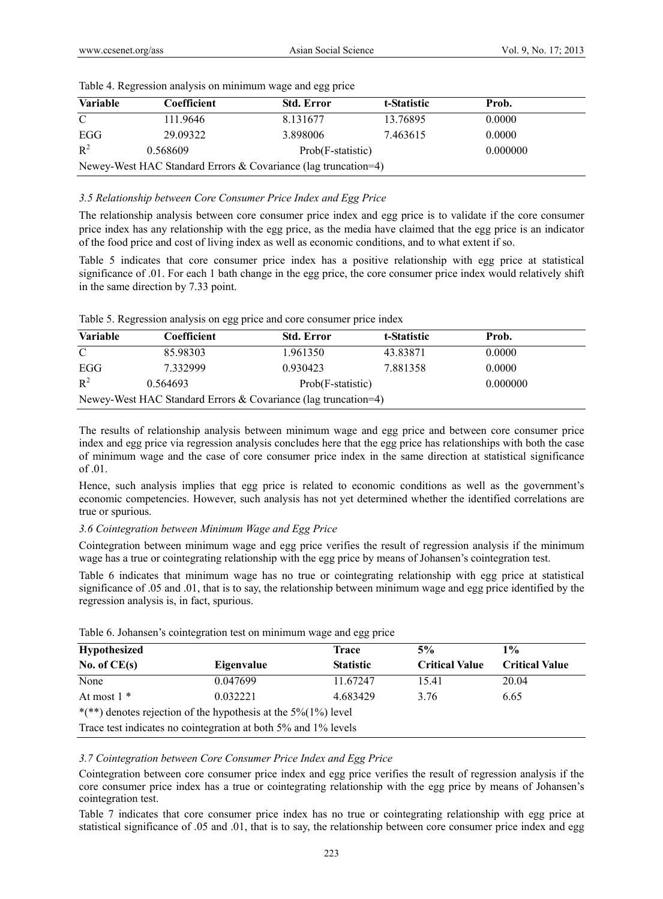| <b>Variable</b>                                                | Coefficient | <b>Std. Error</b> | t-Statistic | Prob.    |  |  |  |
|----------------------------------------------------------------|-------------|-------------------|-------------|----------|--|--|--|
| $\mathcal{C}$                                                  | 111.9646    | 8.131677          | 13.76895    | 0.0000   |  |  |  |
| EGG                                                            | 29.09322    | 3.898006          | 7.463615    | 0.0000   |  |  |  |
| $R^2$                                                          | 0.568609    | Prob(F-statistic) |             | 0.000000 |  |  |  |
| Newey-West HAC Standard Errors & Covariance (lag truncation=4) |             |                   |             |          |  |  |  |

Table 4. Regression analysis on minimum wage and egg price

### *3.5 Relationship between Core Consumer Price Index and Egg Price*

The relationship analysis between core consumer price index and egg price is to validate if the core consumer price index has any relationship with the egg price, as the media have claimed that the egg price is an indicator of the food price and cost of living index as well as economic conditions, and to what extent if so.

Table 5 indicates that core consumer price index has a positive relationship with egg price at statistical significance of .01. For each 1 bath change in the egg price, the core consumer price index would relatively shift in the same direction by 7.33 point.

| Table 5. Regression analysis on egg price and core consumer price index |  |  |
|-------------------------------------------------------------------------|--|--|

| <b>Variable</b>                                                | <b>Coefficient</b> | <b>Std. Error</b> | t-Statistic | Prob.    |  |  |  |
|----------------------------------------------------------------|--------------------|-------------------|-------------|----------|--|--|--|
| $\mathcal{C}$                                                  | 85.98303           | 1.961350          | 43.83871    | 0.0000   |  |  |  |
| EGG                                                            | 7.332999           | 0.930423          | 7.881358    | 0.0000   |  |  |  |
| $R^2$                                                          | 0.564693           | Prob(F-statistic) |             | 0.000000 |  |  |  |
| Newey-West HAC Standard Errors & Covariance (lag truncation=4) |                    |                   |             |          |  |  |  |

The results of relationship analysis between minimum wage and egg price and between core consumer price index and egg price via regression analysis concludes here that the egg price has relationships with both the case of minimum wage and the case of core consumer price index in the same direction at statistical significance of .01.

Hence, such analysis implies that egg price is related to economic conditions as well as the government's economic competencies. However, such analysis has not yet determined whether the identified correlations are true or spurious.

### *3.6 Cointegration between Minimum Wage and Egg Price*

Cointegration between minimum wage and egg price verifies the result of regression analysis if the minimum wage has a true or cointegrating relationship with the egg price by means of Johansen's cointegration test.

Table 6 indicates that minimum wage has no true or cointegrating relationship with egg price at statistical significance of .05 and .01, that is to say, the relationship between minimum wage and egg price identified by the regression analysis is, in fact, spurious.

| <b>Hypothesized</b>                                                     |                                                                | Trace            | 5%                    | $1\%$                 |  |  |  |
|-------------------------------------------------------------------------|----------------------------------------------------------------|------------------|-----------------------|-----------------------|--|--|--|
| No. of $CE(s)$                                                          | Eigenvalue                                                     | <b>Statistic</b> | <b>Critical Value</b> | <b>Critical Value</b> |  |  |  |
| None                                                                    | 0.047699                                                       | 11.67247         | 15.41                 | 20.04                 |  |  |  |
| At most $1^*$                                                           | 0.032221                                                       | 4.683429         | 3.76                  | 6.65                  |  |  |  |
| *(**) denotes rejection of the hypothesis at the $5\frac{6}{1\%}$ level |                                                                |                  |                       |                       |  |  |  |
|                                                                         | Trace test indicates no cointegration at both 5% and 1% levels |                  |                       |                       |  |  |  |

Table 6. Johansen's cointegration test on minimum wage and egg price

#### *3.7 Cointegration between Core Consumer Price Index and Egg Price*

Cointegration between core consumer price index and egg price verifies the result of regression analysis if the core consumer price index has a true or cointegrating relationship with the egg price by means of Johansen's cointegration test.

Table 7 indicates that core consumer price index has no true or cointegrating relationship with egg price at statistical significance of .05 and .01, that is to say, the relationship between core consumer price index and egg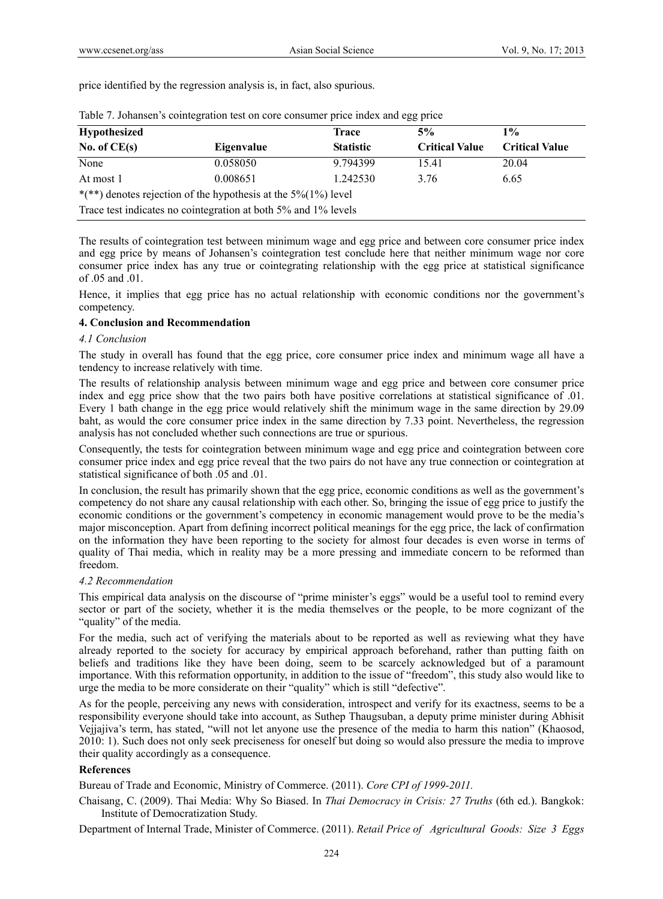price identified by the regression analysis is, in fact, also spurious.

| <b>Hypothesized</b> |                                                                         | Trace            | 5%                    | $1\%$                 |
|---------------------|-------------------------------------------------------------------------|------------------|-----------------------|-----------------------|
| No. of $CE(s)$      | Eigenvalue                                                              | <b>Statistic</b> | <b>Critical Value</b> | <b>Critical Value</b> |
| None                | 0.058050                                                                | 9.794399         | 15.41                 | 20.04                 |
| At most 1           | 0.008651                                                                | 1.242530         | 3.76                  | 6.65                  |
|                     | *(**) denotes rejection of the hypothesis at the $5\frac{6}{1\%}$ level |                  |                       |                       |
|                     | Trace test indicates no cointegration at both 5% and 1% levels          |                  |                       |                       |

|  | Table 7. Johansen's cointegration test on core consumer price index and egg price |  |  |  |  |
|--|-----------------------------------------------------------------------------------|--|--|--|--|
|  |                                                                                   |  |  |  |  |
|  |                                                                                   |  |  |  |  |

The results of cointegration test between minimum wage and egg price and between core consumer price index and egg price by means of Johansen's cointegration test conclude here that neither minimum wage nor core consumer price index has any true or cointegrating relationship with the egg price at statistical significance of .05 and .01.

Hence, it implies that egg price has no actual relationship with economic conditions nor the government's competency.

### **4. Conclusion and Recommendation**

### *4.1 Conclusion*

The study in overall has found that the egg price, core consumer price index and minimum wage all have a tendency to increase relatively with time.

The results of relationship analysis between minimum wage and egg price and between core consumer price index and egg price show that the two pairs both have positive correlations at statistical significance of .01. Every 1 bath change in the egg price would relatively shift the minimum wage in the same direction by 29.09 baht, as would the core consumer price index in the same direction by 7.33 point. Nevertheless, the regression analysis has not concluded whether such connections are true or spurious.

Consequently, the tests for cointegration between minimum wage and egg price and cointegration between core consumer price index and egg price reveal that the two pairs do not have any true connection or cointegration at statistical significance of both .05 and .01.

In conclusion, the result has primarily shown that the egg price, economic conditions as well as the government's competency do not share any causal relationship with each other. So, bringing the issue of egg price to justify the economic conditions or the government's competency in economic management would prove to be the media's major misconception. Apart from defining incorrect political meanings for the egg price, the lack of confirmation on the information they have been reporting to the society for almost four decades is even worse in terms of quality of Thai media, which in reality may be a more pressing and immediate concern to be reformed than freedom.

### *4.2 Recommendation*

This empirical data analysis on the discourse of "prime minister's eggs" would be a useful tool to remind every sector or part of the society, whether it is the media themselves or the people, to be more cognizant of the "quality" of the media.

For the media, such act of verifying the materials about to be reported as well as reviewing what they have already reported to the society for accuracy by empirical approach beforehand, rather than putting faith on beliefs and traditions like they have been doing, seem to be scarcely acknowledged but of a paramount importance. With this reformation opportunity, in addition to the issue of "freedom", this study also would like to urge the media to be more considerate on their "quality" which is still "defective".

As for the people, perceiving any news with consideration, introspect and verify for its exactness, seems to be a responsibility everyone should take into account, as Suthep Thaugsuban, a deputy prime minister during Abhisit Vejjajiva's term, has stated, "will not let anyone use the presence of the media to harm this nation" (Khaosod, 2010: 1). Such does not only seek preciseness for oneself but doing so would also pressure the media to improve their quality accordingly as a consequence.

# **References**

Bureau of Trade and Economic, Ministry of Commerce. (2011). *Core CPI of 1999-2011.*

Chaisang, C. (2009). Thai Media: Why So Biased. In *Thai Democracy in Crisis: 27 Truths* (6th ed.). Bangkok: Institute of Democratization Study.

Department of Internal Trade, Minister of Commerce. (2011). *Retail Price of Agricultural Goods: Size 3 Eggs*